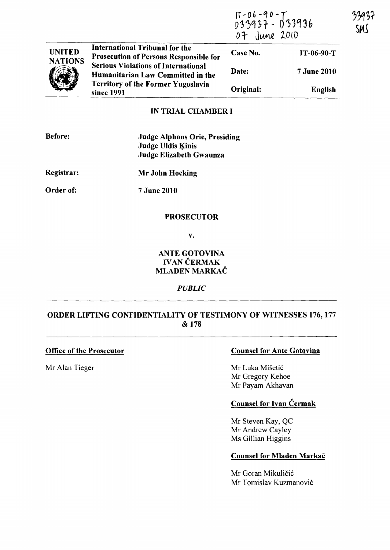|                | <b>International Tribunal for the</b><br><b>Prosecution of Persons Responsible for</b><br><b>Serious Violations of International</b><br>Humanitarian Law Committed in the<br><b>Territory of the Former Yugoslavia</b><br>since 1991 | 17-06-90-7<br>D33937- D33936<br>07 June 2010 |                    | 339<br>SM |
|----------------|--------------------------------------------------------------------------------------------------------------------------------------------------------------------------------------------------------------------------------------|----------------------------------------------|--------------------|-----------|
| <b>UNITED</b>  |                                                                                                                                                                                                                                      | Case No.                                     | IT-06-90-T         |           |
| <b>NATIONS</b> |                                                                                                                                                                                                                                      | Date:                                        | <b>7 June 2010</b> |           |
|                |                                                                                                                                                                                                                                      | Original:                                    | English            |           |

#### IN TRIAL CHAMBER I

| <b>Before:</b> | <b>Judge Alphons Orie, Presiding</b><br><b>Judge Uldis Kinis</b><br>Judge Elizabeth Gwaunza |
|----------------|---------------------------------------------------------------------------------------------|
| Registrar:     | Mr John Hocking                                                                             |
| Order of:      | <b>7 June 2010</b>                                                                          |

### PROSECUTOR

v.

## ANTE GOTOVINA **IVAN ČERMAK** MLADEN MARKAČ

## *PUBLIC*

# ORDER LIFTING CONFIDENTIALITY OF TESTIMONY OF WITNESSES 176, 177 & 178

### Office of the Prosecutor

Mr Alan Tieger

## Counsel for Ante Gotovina

Mr Luka Mišetić Mr Gregory Kehoe Mr Payam Akhavan

## Counsel for Ivan Cermak

Mr Steven Kay, QC Mr Andrew Cayley Ms Gillian Higgins

### Counsel for Mladen Markač

Mr Goran Mikuličić Mr Tomislav Kuzmanović